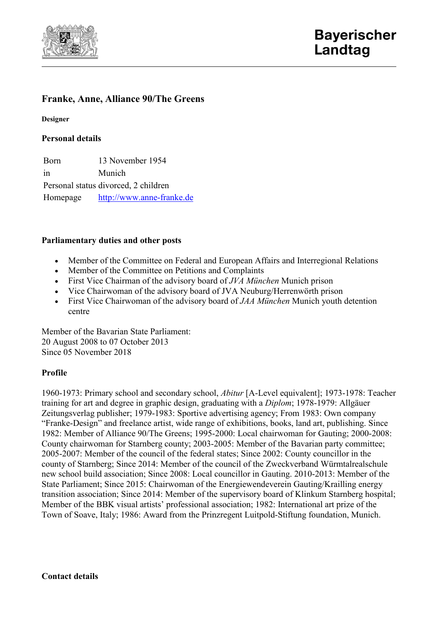

# **Franke, Anne, Alliance 90/The Greens**

**Designer**

### **Personal details**

Born 13 November 1954 in Munich Personal status divorced, 2 children Homepage [http://www.anne-franke.de](http://www.anne-franke.de/)

### **Parliamentary duties and other posts**

- Member of the Committee on Federal and European Affairs and Interregional Relations
- Member of the Committee on Petitions and Complaints
- First Vice Chairman of the advisory board of *JVA München* Munich prison
- Vice Chairwoman of the advisory board of JVA Neuburg/Herrenwörth prison
- First Vice Chairwoman of the advisory board of *JAA München* Munich youth detention centre

Member of the Bavarian State Parliament: 20 August 2008 to 07 October 2013 Since 05 November 2018

## **Profile**

1960-1973: Primary school and secondary school, *Abitur* [A-Level equivalent]; 1973-1978: Teacher training for art and degree in graphic design, graduating with a *Diplom*; 1978-1979: Allgäuer Zeitungsverlag publisher; 1979-1983: Sportive advertising agency; From 1983: Own company "Franke-Design" and freelance artist, wide range of exhibitions, books, land art, publishing. Since 1982: Member of Alliance 90/The Greens; 1995-2000: Local chairwoman for Gauting; 2000-2008: County chairwoman for Starnberg county; 2003-2005: Member of the Bavarian party committee; 2005-2007: Member of the council of the federal states; Since 2002: County councillor in the county of Starnberg; Since 2014: Member of the council of the Zweckverband Würmtalrealschule new school build association; Since 2008: Local councillor in Gauting. 2010-2013: Member of the State Parliament; Since 2015: Chairwoman of the Energiewendeverein Gauting/Krailling energy transition association; Since 2014: Member of the supervisory board of Klinkum Starnberg hospital; Member of the BBK visual artists' professional association; 1982: International art prize of the Town of Soave, Italy; 1986: Award from the Prinzregent Luitpold-Stiftung foundation, Munich.